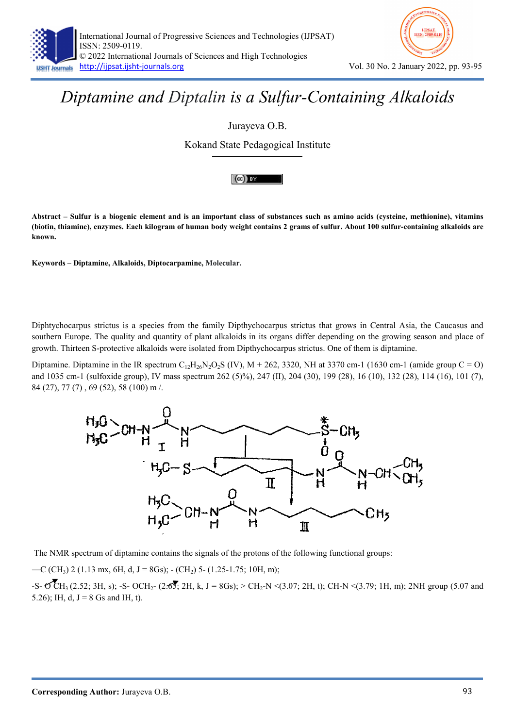



## Diptamine and Diptalin is a Sulfur-Containing Alkaloids

Jurayeva O.B.

Kokand State Pedagogical Institute



Abstract – Sulfur is a biogenic element and is an important class of substances such as amino acids (cysteine, methionine), vitamins (biotin, thiamine), enzymes. Each kilogram of human body weight contains 2 grams of sulfur. About 100 sulfur-containing alkaloids are known.

Keywords – Diptamine, Alkaloids, Diptocarpamine, Molecular.

Diphtychocarpus strictus is a species from the family Dipthychocarpus strictus that grows in Central Asia, the Caucasus and southern Europe. The quality and quantity of plant alkaloids in its organs differ depending on the growing season and place of growth. Thirteen S-protective alkaloids were isolated from Dipthychocarpus strictus. One of them is diptamine.

Diptamine. Diptamine in the IR spectrum  $C_{12}H_{26}N_2O_2S$  (IV),  $M + 262$ , 3320, NH at 3370 cm-1 (1630 cm-1 (amide group C = O) and 1035 cm-1 (sulfoxide group), IV mass spectrum 262 (5)%), 247 (II), 204 (30), 199 (28), 16 (10), 132 (28), 114 (16), 101 (7), 84 (27), 77 (7) , 69 (52), 58 (100) m /.



The NMR spectrum of diptamine contains the signals of the protons of the following functional groups:

—C (CH<sub>3</sub>) 2 (1.13 mx, 6H, d, J = 8Gs); - (CH<sub>2</sub>) 5- (1.25-1.75; 10H, m);

 $-S- OCH_3 (2.52; 3H, s); -S- OCH_2- (2.65; 2H, k, J = 8Gs); > CH_2-N < (3.07; 2H, t); CH-N < (3.79; 1H, m); 2NH group (5.07 and s)$ 5.26); IH, d,  $J = 8$  Gs and IH, t).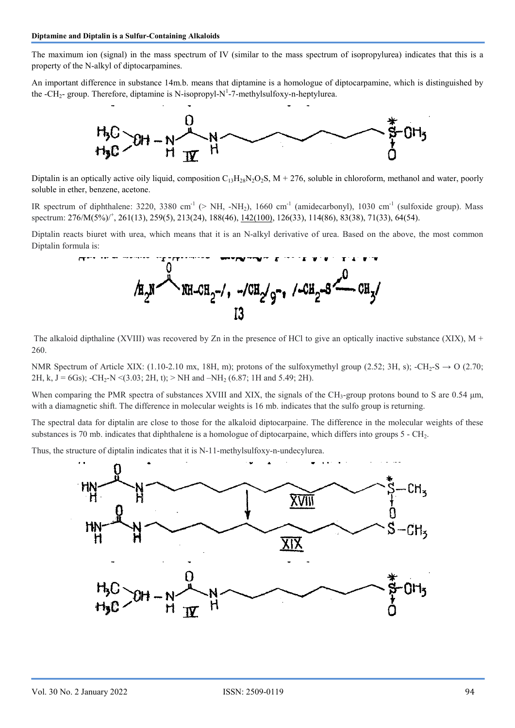The maximum ion (signal) in the mass spectrum of IV (similar to the mass spectrum of isopropylurea) indicates that this is a property of the N-alkyl of diptocarpamines.

An important difference in substance 14m.b. means that diptamine is a homologue of diptocarpamine, which is distinguished by the -CH<sub>2</sub>- group. Therefore, diptamine is N-isopropyl-N<sup>1</sup>-7-methylsulfoxy-n-heptylurea.



Diptalin is an optically active oily liquid, composition  $C_{13}H_{28}N_2O_2S$ ,  $M + 276$ , soluble in chloroform, methanol and water, poorly soluble in ether, benzene, acetone.

IR spectrum of diphthalene: 3220, 3380 cm<sup>-1</sup> (> NH, -NH<sub>2</sub>), 1660 cm<sup>-1</sup> (amidecarbonyl), 1030 cm<sup>-1</sup> (sulfoxide group). Mass spectrum: 276/M(5%)<sup>+</sup>, 261(13), 259(5), 213(24), 188(46), <u>142(100)</u>, 126(33), 114(86), 83(38), 71(33), 64(54).

Diptalin reacts biuret with urea, which means that it is an N-alkyl derivative of urea. Based on the above, the most common Diptalin formula is:



The alkaloid dipthaline (XVIII) was recovered by Zn in the presence of HCl to give an optically inactive substance (XIX),  $M +$ 260.

NMR Spectrum of Article XIX: (1.10-2.10 mx, 18H, m); protons of the sulfoxymethyl group (2.52; 3H, s); -CH<sub>2</sub>-S  $\rightarrow$  O (2.70; 2H, k, J = 6Gs); -CH<sub>2</sub>-N <(3.03; 2H, t); > NH and -NH<sub>2</sub> (6.87; 1H and 5.49; 2H).

When comparing the PMR spectra of substances XVIII and XIX, the signals of the CH<sub>3</sub>-group protons bound to S are 0.54 μm, with a diamagnetic shift. The difference in molecular weights is 16 mb. indicates that the sulfo group is returning.

The spectral data for diptalin are close to those for the alkaloid diptocarpaine. The difference in the molecular weights of these substances is 70 mb. indicates that diphthalene is a homologue of diptocarpaine, which differs into groups  $5 - \text{CH}_2$ .

Thus, the structure of diptalin indicates that it is N-11-methylsulfoxy-n-undecylurea.